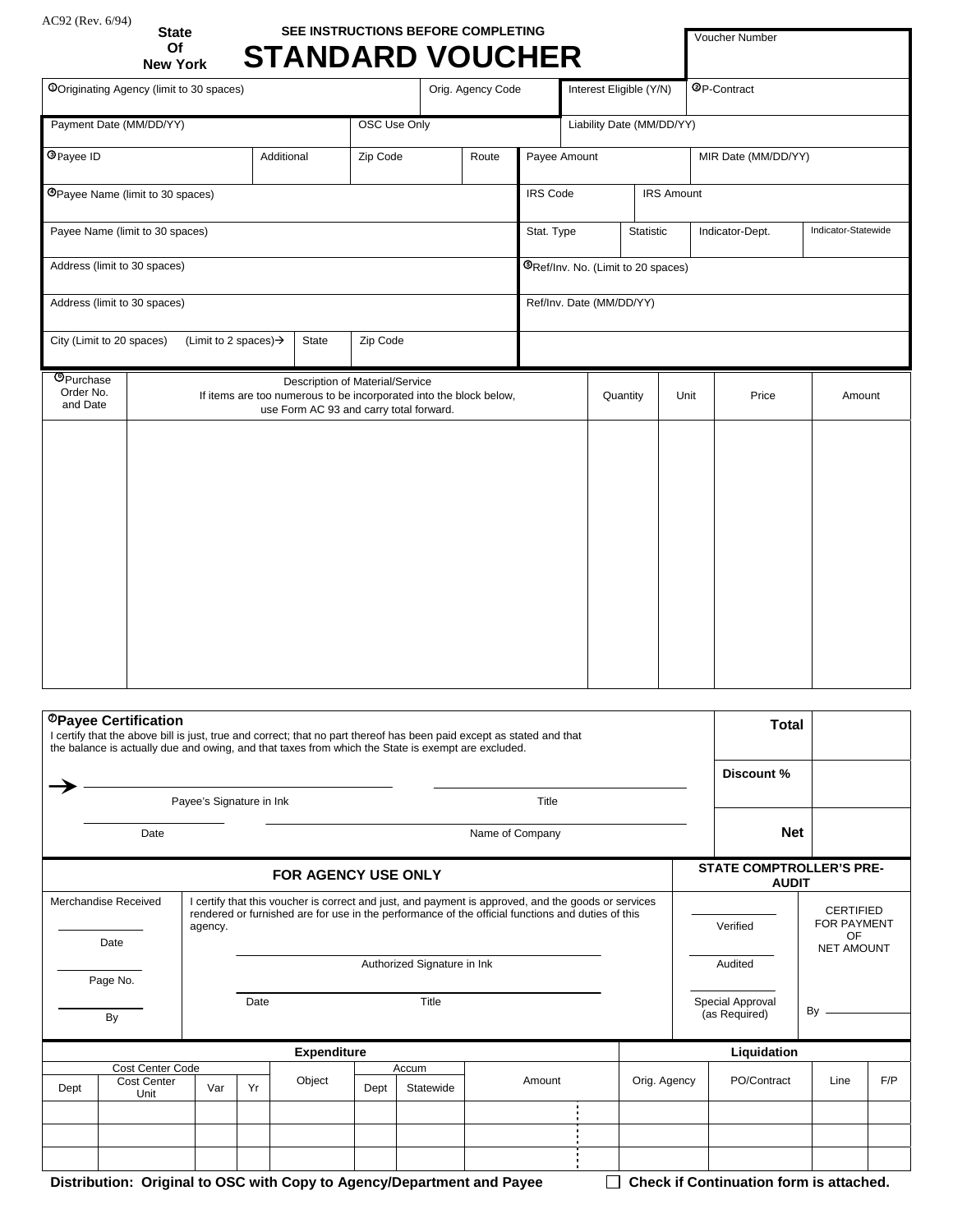# AC92 (Rev. 6/94) **State SEE INSTRUCTIONS BEFORE COMPLETING**

Voucher Number

|                                                                                     | Of<br><b>New York</b>                                                                                                                            |  |  | <b>STANDARD VOUCHER</b> |  |                       |            |                                    |                           |                 |                    |                     |        |  |  |
|-------------------------------------------------------------------------------------|--------------------------------------------------------------------------------------------------------------------------------------------------|--|--|-------------------------|--|-----------------------|------------|------------------------------------|---------------------------|-----------------|--------------------|---------------------|--------|--|--|
| <b>OOriginating Agency (limit to 30 spaces)</b>                                     |                                                                                                                                                  |  |  |                         |  | Orig. Agency Code     |            |                                    | Interest Eligible (Y/N)   |                 | <b>OP-Contract</b> |                     |        |  |  |
| Payment Date (MM/DD/YY)<br>OSC Use Only                                             |                                                                                                                                                  |  |  |                         |  |                       |            |                                    | Liability Date (MM/DD/YY) |                 |                    |                     |        |  |  |
| <b>O</b> Payee ID                                                                   | Additional<br>Zip Code                                                                                                                           |  |  |                         |  | Payee Amount<br>Route |            |                                    |                           |                 |                    | MIR Date (MM/DD/YY) |        |  |  |
| <b>@Payee Name (limit to 30 spaces)</b>                                             |                                                                                                                                                  |  |  |                         |  |                       |            | <b>IRS</b> Code                    |                           |                 | <b>IRS Amount</b>  |                     |        |  |  |
| Payee Name (limit to 30 spaces)                                                     |                                                                                                                                                  |  |  |                         |  |                       | Stat. Type |                                    | Statistic                 | Indicator-Dept. |                    | Indicator-Statewide |        |  |  |
| Address (limit to 30 spaces)                                                        |                                                                                                                                                  |  |  |                         |  |                       |            | ®Ref/Inv. No. (Limit to 20 spaces) |                           |                 |                    |                     |        |  |  |
| Address (limit to 30 spaces)                                                        |                                                                                                                                                  |  |  |                         |  |                       |            | Ref/Inv. Date (MM/DD/YY)           |                           |                 |                    |                     |        |  |  |
| City (Limit to 20 spaces)<br>(Limit to 2 spaces) $\rightarrow$<br>State<br>Zip Code |                                                                                                                                                  |  |  |                         |  |                       |            |                                    |                           |                 |                    |                     |        |  |  |
| <b>O</b> Purchase<br>Order No.<br>and Date                                          | Description of Material/Service<br>If items are too numerous to be incorporated into the block below,<br>use Form AC 93 and carry total forward. |  |  |                         |  |                       |            |                                    | Quantity                  |                 | Unit               | Price               | Amount |  |  |
|                                                                                     |                                                                                                                                                  |  |  |                         |  |                       |            |                                    |                           |                 |                    |                     |        |  |  |
|                                                                                     |                                                                                                                                                  |  |  |                         |  |                       |            |                                    |                           |                 |                    |                     |        |  |  |
|                                                                                     |                                                                                                                                                  |  |  |                         |  |                       |            |                                    |                           |                 |                    |                     |        |  |  |
|                                                                                     |                                                                                                                                                  |  |  |                         |  |                       |            |                                    |                           |                 |                    |                     |        |  |  |
|                                                                                     |                                                                                                                                                  |  |  |                         |  |                       |            |                                    |                           |                 |                    |                     |        |  |  |
|                                                                                     |                                                                                                                                                  |  |  |                         |  |                       |            |                                    |                           |                 |                    |                     |        |  |  |
|                                                                                     |                                                                                                                                                  |  |  |                         |  |                       |            |                                    |                           |                 |                    |                     |        |  |  |
|                                                                                     |                                                                                                                                                  |  |  |                         |  |                       |            |                                    |                           |                 |                    |                     |        |  |  |

|                          | <sup>@</sup> Payee Certification<br>I certify that the above bill is just, true and correct; that no part thereof has been paid except as stated and that<br>the balance is actually due and owing, and that taxes from which the State is exempt are excluded. | <b>Total</b>                                    |            |                                                                                                                                                                                                          |       |                                      |                  |              |                  |                     |      |     |  |  |
|--------------------------|-----------------------------------------------------------------------------------------------------------------------------------------------------------------------------------------------------------------------------------------------------------------|-------------------------------------------------|------------|----------------------------------------------------------------------------------------------------------------------------------------------------------------------------------------------------------|-------|--------------------------------------|------------------|--------------|------------------|---------------------|------|-----|--|--|
|                          |                                                                                                                                                                                                                                                                 |                                                 | Discount % |                                                                                                                                                                                                          |       |                                      |                  |              |                  |                     |      |     |  |  |
| Payee's Signature in Ink |                                                                                                                                                                                                                                                                 |                                                 |            |                                                                                                                                                                                                          |       |                                      | Title            |              |                  |                     |      |     |  |  |
|                          | Date                                                                                                                                                                                                                                                            |                                                 |            |                                                                                                                                                                                                          |       |                                      | Name of Company  |              | <b>Net</b>       |                     |      |     |  |  |
|                          |                                                                                                                                                                                                                                                                 | <b>STATE COMPTROLLER'S PRE-</b><br><b>AUDIT</b> |            |                                                                                                                                                                                                          |       |                                      |                  |              |                  |                     |      |     |  |  |
|                          | Merchandise Received                                                                                                                                                                                                                                            |                                                 |            | I certify that this voucher is correct and just, and payment is approved, and the goods or services<br>rendered or furnished are for use in the performance of the official functions and duties of this |       |                                      | <b>CERTIFIED</b> |              |                  |                     |      |     |  |  |
|                          |                                                                                                                                                                                                                                                                 |                                                 |            |                                                                                                                                                                                                          |       | <b>FOR PAYMENT</b><br>Verified<br>OF |                  |              |                  |                     |      |     |  |  |
|                          | Date                                                                                                                                                                                                                                                            |                                                 |            |                                                                                                                                                                                                          |       | <b>NET AMOUNT</b>                    |                  |              |                  |                     |      |     |  |  |
|                          | Page No.                                                                                                                                                                                                                                                        |                                                 |            |                                                                                                                                                                                                          |       | Audited                              |                  |              |                  |                     |      |     |  |  |
|                          |                                                                                                                                                                                                                                                                 |                                                 | Date       |                                                                                                                                                                                                          |       | Title                                |                  |              | Special Approval |                     |      |     |  |  |
| By                       |                                                                                                                                                                                                                                                                 |                                                 |            |                                                                                                                                                                                                          |       |                                      |                  |              |                  | By<br>(as Required) |      |     |  |  |
| <b>Expenditure</b>       |                                                                                                                                                                                                                                                                 |                                                 |            |                                                                                                                                                                                                          |       |                                      |                  |              |                  | Liquidation         |      |     |  |  |
|                          | Cost Center Code<br><b>Cost Center</b>                                                                                                                                                                                                                          |                                                 |            | Object                                                                                                                                                                                                   | Accum |                                      | Amount           | Orig. Agency |                  | PO/Contract         | Line | F/P |  |  |
| Dept                     | Unit                                                                                                                                                                                                                                                            | Var                                             | Yr         |                                                                                                                                                                                                          | Dept  | Statewide                            |                  |              |                  |                     |      |     |  |  |
|                          |                                                                                                                                                                                                                                                                 |                                                 |            |                                                                                                                                                                                                          |       |                                      |                  |              |                  |                     |      |     |  |  |
|                          |                                                                                                                                                                                                                                                                 |                                                 |            |                                                                                                                                                                                                          |       |                                      |                  |              |                  |                     |      |     |  |  |
|                          |                                                                                                                                                                                                                                                                 |                                                 |            |                                                                                                                                                                                                          |       |                                      |                  |              |                  |                     |      |     |  |  |

 **Distribution: Original to OSC with Copy to Agency/Department and Payee Check if Continuation form is attached.**